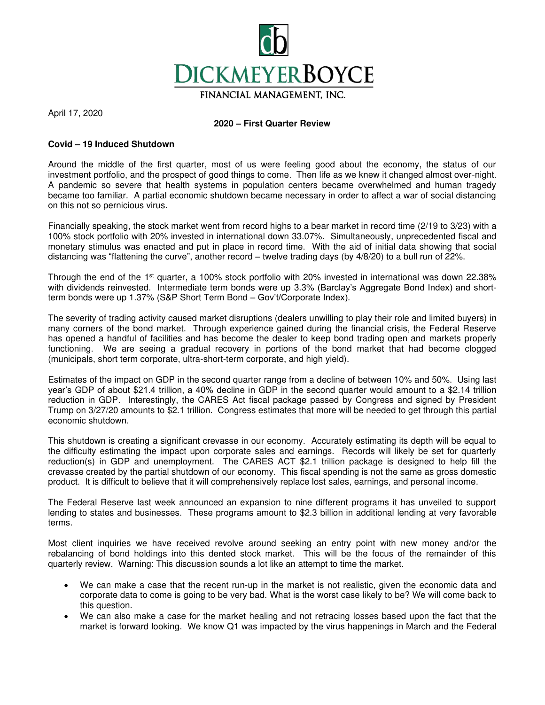

April 17, 2020

## **2020 – First Quarter Review**

## **Covid – 19 Induced Shutdown**

Around the middle of the first quarter, most of us were feeling good about the economy, the status of our investment portfolio, and the prospect of good things to come. Then life as we knew it changed almost over-night. A pandemic so severe that health systems in population centers became overwhelmed and human tragedy became too familiar. A partial economic shutdown became necessary in order to affect a war of social distancing on this not so pernicious virus.

Financially speaking, the stock market went from record highs to a bear market in record time (2/19 to 3/23) with a 100% stock portfolio with 20% invested in international down 33.07%. Simultaneously, unprecedented fiscal and monetary stimulus was enacted and put in place in record time. With the aid of initial data showing that social distancing was "flattening the curve", another record – twelve trading days (by 4/8/20) to a bull run of 22%.

Through the end of the 1st quarter, a 100% stock portfolio with 20% invested in international was down 22.38% with dividends reinvested. Intermediate term bonds were up 3.3% (Barclay's Aggregate Bond Index) and shortterm bonds were up 1.37% (S&P Short Term Bond – Gov't/Corporate Index).

The severity of trading activity caused market disruptions (dealers unwilling to play their role and limited buyers) in many corners of the bond market. Through experience gained during the financial crisis, the Federal Reserve has opened a handful of facilities and has become the dealer to keep bond trading open and markets properly functioning. We are seeing a gradual recovery in portions of the bond market that had become clogged (municipals, short term corporate, ultra-short-term corporate, and high yield).

Estimates of the impact on GDP in the second quarter range from a decline of between 10% and 50%. Using last year's GDP of about \$21.4 trillion, a 40% decline in GDP in the second quarter would amount to a \$2.14 trillion reduction in GDP. Interestingly, the CARES Act fiscal package passed by Congress and signed by President Trump on 3/27/20 amounts to \$2.1 trillion. Congress estimates that more will be needed to get through this partial economic shutdown.

This shutdown is creating a significant crevasse in our economy. Accurately estimating its depth will be equal to the difficulty estimating the impact upon corporate sales and earnings. Records will likely be set for quarterly reduction(s) in GDP and unemployment. The CARES ACT \$2.1 trillion package is designed to help fill the crevasse created by the partial shutdown of our economy. This fiscal spending is not the same as gross domestic product. It is difficult to believe that it will comprehensively replace lost sales, earnings, and personal income.

The Federal Reserve last week announced an expansion to nine different programs it has unveiled to support lending to states and businesses. These programs amount to \$2.3 billion in additional lending at very favorable terms.

Most client inquiries we have received revolve around seeking an entry point with new money and/or the rebalancing of bond holdings into this dented stock market. This will be the focus of the remainder of this quarterly review. Warning: This discussion sounds a lot like an attempt to time the market.

- We can make a case that the recent run-up in the market is not realistic, given the economic data and corporate data to come is going to be very bad. What is the worst case likely to be? We will come back to this question.
- We can also make a case for the market healing and not retracing losses based upon the fact that the market is forward looking. We know Q1 was impacted by the virus happenings in March and the Federal